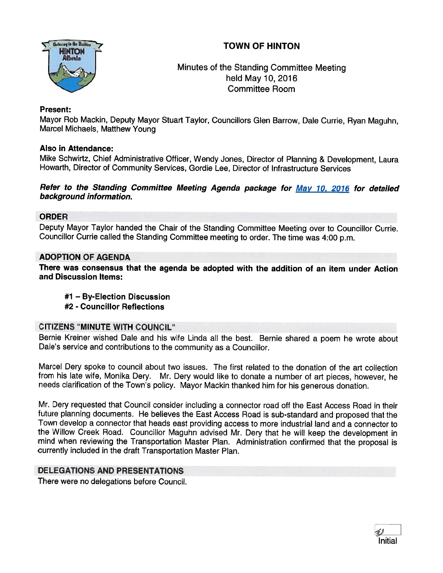# TOWN OF HINTON



Minutes of the Standing Committee Meeting held May 10, 2016 Committee Room

## Present:

Mayor Rob Mackin, Deputy Mayor Stuart Taylor, Councillors Glen Barrow, Dale Currie, Ryan Maguhn, Marcel Michaels, Matthew Young

## Also in Attendance:

Mike Schwirtz, Chief Administrative Officer, Wendy Jones, Director of Planning & Development, Laura Howarth, Director of Community Services, Gordie Lee, Director of Infrastructure Services

## Refer to the Standing Committee Meeting Agenda package for May 10, 2016 for detailed background information.

## ORDER

Deputy Mayor Taylor handed the Chair of the Standing Committee Meeting over to Councillor Currie. Councillor Currie called the Standing Committee meeting to order. The time was 4:00 p.m.

## ADOPTION OF AGENDA

There was consensus that the agenda be adopted with the addition of an item under Action and Discussion Items:

- #1 By-Election Discussion
- #2 Councillor Reflections

## CITIZENS 'MINUTE WITH COUNCIL"

Bernie Kreiner wished Dale and his wife Linda all the best. Bernie shared <sup>a</sup> poem he wrote about Dale's service and contributions to the community as <sup>a</sup> Councillor.

Marcel Dery spoke to council about two issues. The first related to the donation of the art collection from his late wife, Monika Dery. Mr. Dery would like to donate <sup>a</sup> number of art <sup>p</sup>ieces, however, he needs clarification of the Town's policy. Mayor Mackin thanked him for his generous donation.

Mr. Dery requested that Council consider including <sup>a</sup> connector road off the East Access Road in their future <sup>p</sup>lanning documents. He believes the East Access Road is sub-standard and propose<sup>d</sup> that the Town develop <sup>a</sup> connector that heads east providing access to more industrial land and <sup>a</sup> connector to the Willow Creek Road. Councillor Maguhn advised Mr. Dery that he will keep the development in mind when reviewing the Transportation Master Plan. Administration confirmed that the proposa<sup>l</sup> is currently included in the draft Transportation Master Plan.

## DELEGATIONS AND PRESENTATIONS

There were no delegations before Council.

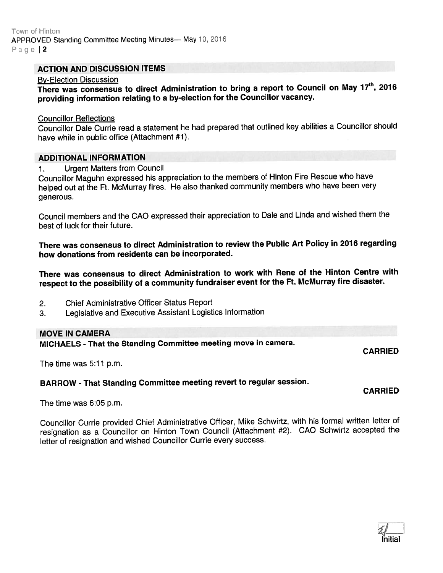Town of Hinton APPROVED Standing Committee Meeting Minutes-May 10, 2016 Page | 2

## ACTION AND DISCUSSION ITEMS

#### By-Election Discussion

There was consensus to direct Administration to bring a report to Council on May 17<sup>th</sup>, 2016 providing information relating to <sup>a</sup> by-election for the Councillor vacancy.

#### Councillor Reflections

Councillor Dale Currie read <sup>a</sup> statement he had prepare<sup>d</sup> that outlined key abilities <sup>a</sup> Councillor should have while in public office (Attachment #1).

#### ADDITIONAL INFORMATION

1. Urgent Matters from Council

Councillor Maguhn expresse<sup>d</sup> his appreciation to the members of Hinton Fire Rescue who have helped out at the Ft. McMurray fires. He also thanked community members who have been very generous.

Council members and the CAO expresse<sup>d</sup> their appreciation to Dale and Linda and wished them the best of luck for their future.

There was consensus to direct Administration to review the Public Art Policy in <sup>2076</sup> regarding how donations from residents can be incorporated.

There was consensus to direct Administration to work with Rene of the Hinton Centre with respec<sup>t</sup> to the possibility of <sup>a</sup> community fundraiser event for the Ft. McMurray fire disaster.

- 2. Chief Administrative Officer Status Report
- 3. Legislative and Executive Assistant Logistics Information

## MOVE IN CAMERA

MICHAELS - That the Standing Committee meeting move in camera.

CARRIED

CARRIED

The time was 5:11 p.m.

## BARROW - That Standing Committee meeting revert to regular session.

The time was 6:05 p.m.

Councillor Currie provided Chief Administrative Officer, Mike Schwirtz, with his formal written letter of resignation as <sup>a</sup> Councillor on Hinton Town Council (Attachment #2). CAO Schwirtz accepted the letter of resignation and wished Councillor Currie every success.

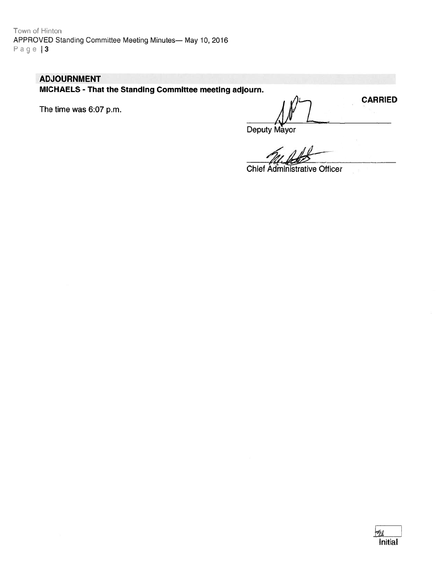# **ADJOURNMENT**

MICHAELS - That the Standing Committee meeting adjourn.

The time was 6:07 p.m.

**CARRIED** 

Deputy Mayor

**Chief Administrative Officer**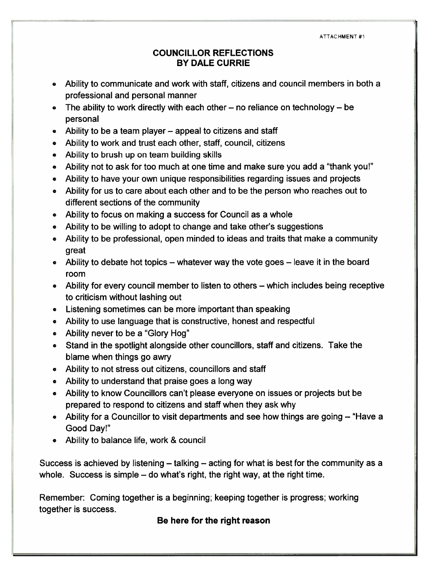ATTACHMENT #1

# COUNCILLOR REFLECTIONS BY DALE CURRIE

- Ability to communicate and work with staff, citizens and council members in both <sup>a</sup> professional and personal manner
- The ability to work directly with each other no reliance on technology be personal
- Ability to be <sup>a</sup> team player appeal to citizens and staff
- Ability to work and trust each other, staff, council, citizens
- Ability to brush up on team building skills
- Ability not to ask for too much at one time and make sure you add <sup>a</sup> "thank you!"
- Ability to have your own unique responsibilities regarding issues and projects
- Ability for us to care about each other and to be the person who reaches out to different sections of the community
- Ability to focus on making <sup>a</sup> success for Council as <sup>a</sup> whole
- Ability to be willing to adopt to change and take other's suggestions
- Ability to be professional, open minded to ideas and traits that make <sup>a</sup> community great
- Ability to debate hot topics whatever way the vote goes leave it in the board room
- Ability for every council member to listen to others which includes being receptive to criticism without lashing out
- Listening sometimes can be more important than speaking
- Ability to use language that is constructive, honest and respectful
- Ability never to be <sup>a</sup> "Glory Hog"
- Stand in the spotlight alongside other councillors, staff and citizens. Take the blame when things go awry
- Ability to not stress out citizens, councillors and staff
- Ability to understand that praise goes <sup>a</sup> long way
- Ability to know Councillors can't please everyone on issues or projects but be prepared to respond to citizens and staff when they ask why
- Ability for <sup>a</sup> Councillor to visit departments and see how things are going "Have <sup>a</sup> Good Day!"
- Ability to balance life, work & council

Success is achieved by listening — talking — acting for what is best for the community as <sup>a</sup> whole. Success is simple  $-$  do what's right, the right way, at the right time.

Remember: Coming together is <sup>a</sup> beginning; keeping together is progress; working together is success.

Be here for the right reason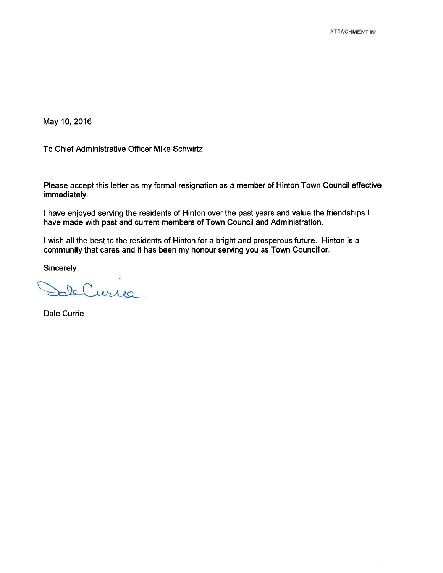ò.

May 10, 2016

To Chief Administrative Officer Mike Schwirtz,

Please accep<sup>t</sup> this letter as my formal resignation as <sup>a</sup> member of Hinton Town Council effective immediately.

I have enjoyed serving the residents of Hinton over the pas<sup>t</sup> years and value the friendships I have made with pas<sup>t</sup> and current members of Town Council and Administration.

I wish all the best to the residents of Hinton for <sup>a</sup> bright and prosperous future. Hinton is <sup>a</sup> community that cares and it has been my honour serving you as Town Councillor.

**Sincerely** 

de Currie

Dale Currie